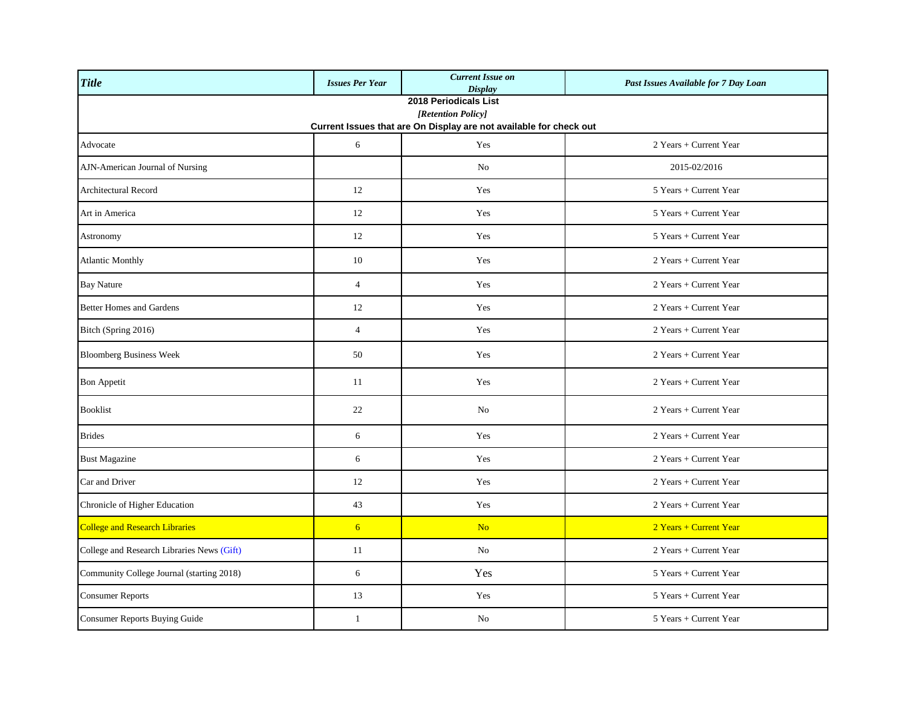| <b>Title</b>                                                                                                      | <b>Issues Per Year</b> | <b>Current Issue on</b><br><b>Display</b> | Past Issues Available for 7 Day Loan |  |
|-------------------------------------------------------------------------------------------------------------------|------------------------|-------------------------------------------|--------------------------------------|--|
| 2018 Periodicals List<br>[Retention Policy]<br>Current Issues that are On Display are not available for check out |                        |                                           |                                      |  |
| Advocate                                                                                                          | 6                      | Yes                                       | 2 Years + Current Year               |  |
| AJN-American Journal of Nursing                                                                                   |                        | N <sub>0</sub>                            | 2015-02/2016                         |  |
| <b>Architectural Record</b>                                                                                       | 12                     | Yes                                       | 5 Years + Current Year               |  |
| Art in America                                                                                                    | 12                     | Yes                                       | 5 Years + Current Year               |  |
| Astronomy                                                                                                         | 12                     | Yes                                       | 5 Years + Current Year               |  |
| <b>Atlantic Monthly</b>                                                                                           | 10                     | Yes                                       | 2 Years + Current Year               |  |
| <b>Bay Nature</b>                                                                                                 | $\overline{4}$         | Yes                                       | 2 Years + Current Year               |  |
| <b>Better Homes and Gardens</b>                                                                                   | 12                     | Yes                                       | 2 Years + Current Year               |  |
| Bitch (Spring 2016)                                                                                               | $\overline{4}$         | Yes                                       | 2 Years + Current Year               |  |
| <b>Bloomberg Business Week</b>                                                                                    | 50                     | Yes                                       | 2 Years + Current Year               |  |
| <b>Bon Appetit</b>                                                                                                | 11                     | Yes                                       | 2 Years + Current Year               |  |
| <b>Booklist</b>                                                                                                   | 22                     | N <sub>o</sub>                            | 2 Years + Current Year               |  |
| <b>Brides</b>                                                                                                     | 6                      | Yes                                       | 2 Years + Current Year               |  |
| <b>Bust Magazine</b>                                                                                              | 6                      | Yes                                       | 2 Years + Current Year               |  |
| Car and Driver                                                                                                    | 12                     | Yes                                       | 2 Years + Current Year               |  |
| Chronicle of Higher Education                                                                                     | 43                     | Yes                                       | 2 Years + Current Year               |  |
| <b>College and Research Libraries</b>                                                                             | 6 <sup>1</sup>         | N <sub>o</sub>                            | 2 Years + Current Year               |  |
| College and Research Libraries News (Gift)                                                                        | 11                     | N <sub>o</sub>                            | 2 Years + Current Year               |  |
| Community College Journal (starting 2018)                                                                         | 6                      | Yes                                       | 5 Years + Current Year               |  |
| <b>Consumer Reports</b>                                                                                           | 13                     | Yes                                       | 5 Years + Current Year               |  |
| <b>Consumer Reports Buying Guide</b>                                                                              | $\mathbf{1}$           | No                                        | 5 Years + Current Year               |  |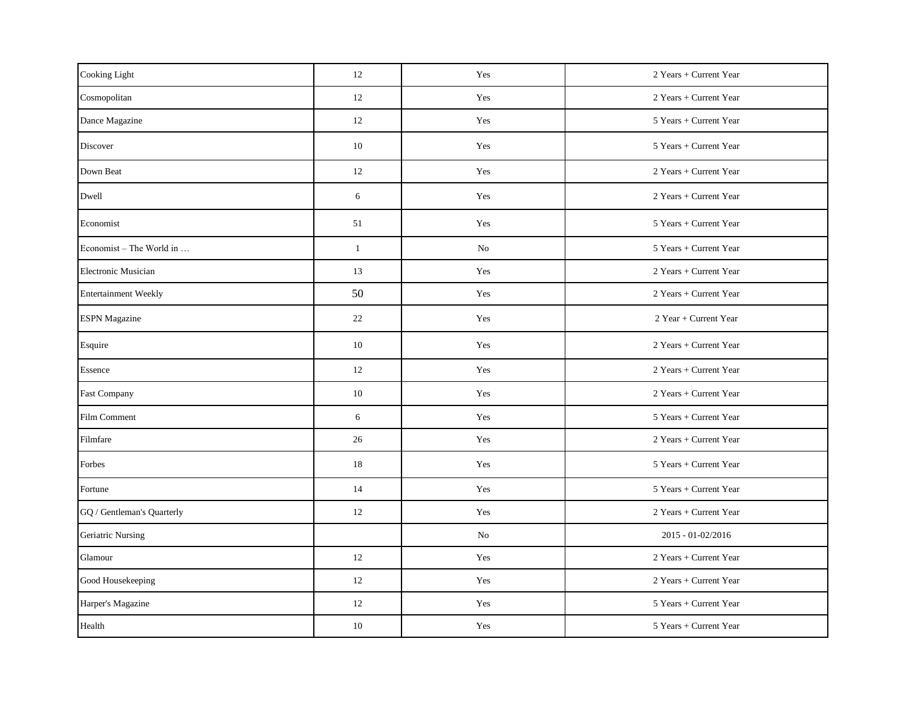| Cooking Light               | 12           | Yes | 2 Years + Current Year |
|-----------------------------|--------------|-----|------------------------|
| Cosmopolitan                | 12           | Yes | 2 Years + Current Year |
| Dance Magazine              | 12           | Yes | 5 Years + Current Year |
| Discover                    | 10           | Yes | 5 Years + Current Year |
| Down Beat                   | 12           | Yes | 2 Years + Current Year |
| Dwell                       | 6            | Yes | 2 Years + Current Year |
| Economist                   | 51           | Yes | 5 Years + Current Year |
| Economist – The World in    | $\mathbf{1}$ | No  | 5 Years + Current Year |
| <b>Electronic Musician</b>  | 13           | Yes | 2 Years + Current Year |
| <b>Entertainment Weekly</b> | 50           | Yes | 2 Years + Current Year |
| <b>ESPN</b> Magazine        | 22           | Yes | 2 Year + Current Year  |
| Esquire                     | 10           | Yes | 2 Years + Current Year |
| Essence                     | 12           | Yes | 2 Years + Current Year |
| <b>Fast Company</b>         | 10           | Yes | 2 Years + Current Year |
| Film Comment                | 6            | Yes | 5 Years + Current Year |
| Filmfare                    | 26           | Yes | 2 Years + Current Year |
| Forbes                      | 18           | Yes | 5 Years + Current Year |
| Fortune                     | 14           | Yes | 5 Years + Current Year |
| GQ / Gentleman's Quarterly  | 12           | Yes | 2 Years + Current Year |
| <b>Geriatric Nursing</b>    |              | No  | 2015 - 01-02/2016      |
| Glamour                     | 12           | Yes | 2 Years + Current Year |
| Good Housekeeping           | 12           | Yes | 2 Years + Current Year |
| Harper's Magazine           | 12           | Yes | 5 Years + Current Year |
| Health                      | 10           | Yes | 5 Years + Current Year |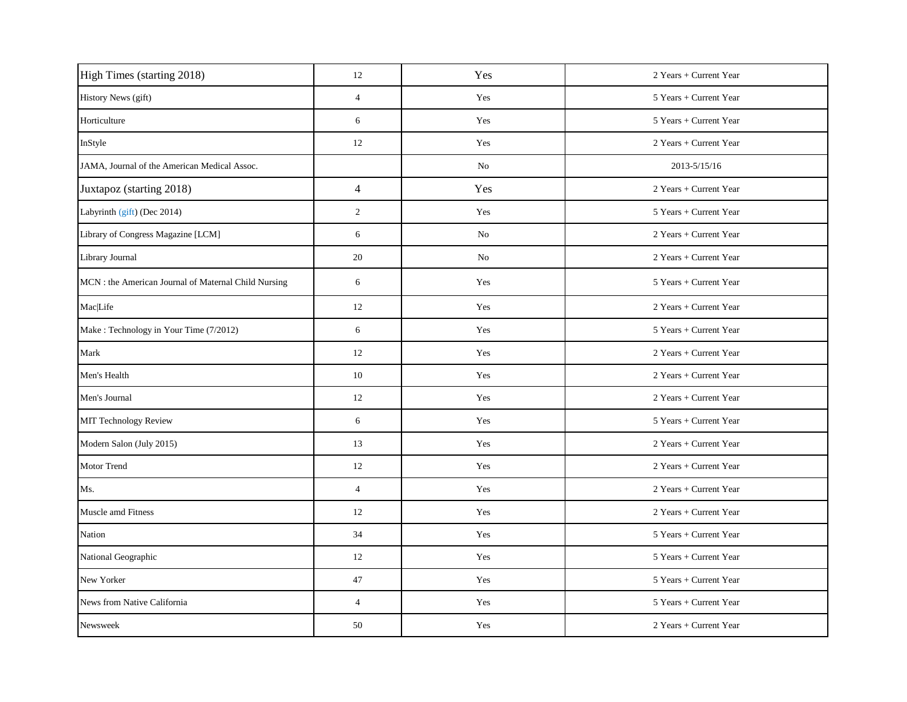| High Times (starting 2018)                           | 12             | Yes | 2 Years + Current Year |
|------------------------------------------------------|----------------|-----|------------------------|
| History News (gift)                                  | $\overline{4}$ | Yes | 5 Years + Current Year |
| Horticulture                                         | 6              | Yes | 5 Years + Current Year |
| InStyle                                              | 12             | Yes | 2 Years + Current Year |
| JAMA, Journal of the American Medical Assoc.         |                | No  | 2013-5/15/16           |
| Juxtapoz (starting 2018)                             | $\overline{4}$ | Yes | 2 Years + Current Year |
| Labyrinth (gift) (Dec 2014)                          | $\mathbf{2}$   | Yes | 5 Years + Current Year |
| Library of Congress Magazine [LCM]                   | 6              | No  | 2 Years + Current Year |
| Library Journal                                      | 20             | No  | 2 Years + Current Year |
| MCN : the American Journal of Maternal Child Nursing | 6              | Yes | 5 Years + Current Year |
| <b>Mac</b> Life                                      | 12             | Yes | 2 Years + Current Year |
| Make: Technology in Your Time (7/2012)               | 6              | Yes | 5 Years + Current Year |
| Mark                                                 | 12             | Yes | 2 Years + Current Year |
| Men's Health                                         | 10             | Yes | 2 Years + Current Year |
| Men's Journal                                        | 12             | Yes | 2 Years + Current Year |
| MIT Technology Review                                | 6              | Yes | 5 Years + Current Year |
| Modern Salon (July 2015)                             | 13             | Yes | 2 Years + Current Year |
| <b>Motor Trend</b>                                   | 12             | Yes | 2 Years + Current Year |
| Ms.                                                  | $\overline{4}$ | Yes | 2 Years + Current Year |
| Muscle amd Fitness                                   | 12             | Yes | 2 Years + Current Year |
| Nation                                               | 34             | Yes | 5 Years + Current Year |
| National Geographic                                  | 12             | Yes | 5 Years + Current Year |
| New Yorker                                           | 47             | Yes | 5 Years + Current Year |
| News from Native California                          | $\overline{4}$ | Yes | 5 Years + Current Year |
| Newsweek                                             | 50             | Yes | 2 Years + Current Year |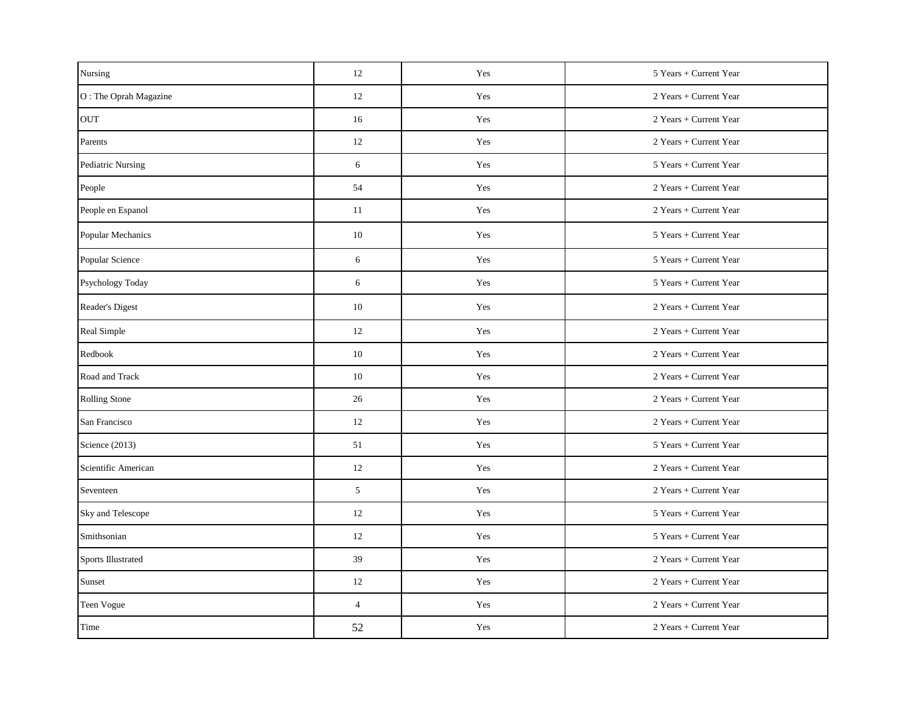| Nursing               | 12             | Yes | 5 Years + Current Year |
|-----------------------|----------------|-----|------------------------|
| O: The Oprah Magazine | 12             | Yes | 2 Years + Current Year |
| <b>OUT</b>            | 16             | Yes | 2 Years + Current Year |
| Parents               | 12             | Yes | 2 Years + Current Year |
| Pediatric Nursing     | 6              | Yes | 5 Years + Current Year |
| People                | 54             | Yes | 2 Years + Current Year |
| People en Espanol     | 11             | Yes | 2 Years + Current Year |
| Popular Mechanics     | 10             | Yes | 5 Years + Current Year |
| Popular Science       | 6              | Yes | 5 Years + Current Year |
| Psychology Today      | 6              | Yes | 5 Years + Current Year |
| Reader's Digest       | 10             | Yes | 2 Years + Current Year |
| Real Simple           | 12             | Yes | 2 Years + Current Year |
| Redbook               | 10             | Yes | 2 Years + Current Year |
| Road and Track        | 10             | Yes | 2 Years + Current Year |
| Rolling Stone         | 26             | Yes | 2 Years + Current Year |
| San Francisco         | 12             | Yes | 2 Years + Current Year |
| Science (2013)        | 51             | Yes | 5 Years + Current Year |
| Scientific American   | 12             | Yes | 2 Years + Current Year |
| Seventeen             | 5              | Yes | 2 Years + Current Year |
| Sky and Telescope     | 12             | Yes | 5 Years + Current Year |
| Smithsonian           | 12             | Yes | 5 Years + Current Year |
| Sports Illustrated    | 39             | Yes | 2 Years + Current Year |
| Sunset                | 12             | Yes | 2 Years + Current Year |
| Teen Vogue            | $\overline{4}$ | Yes | 2 Years + Current Year |
| Time                  | 52             | Yes | 2 Years + Current Year |